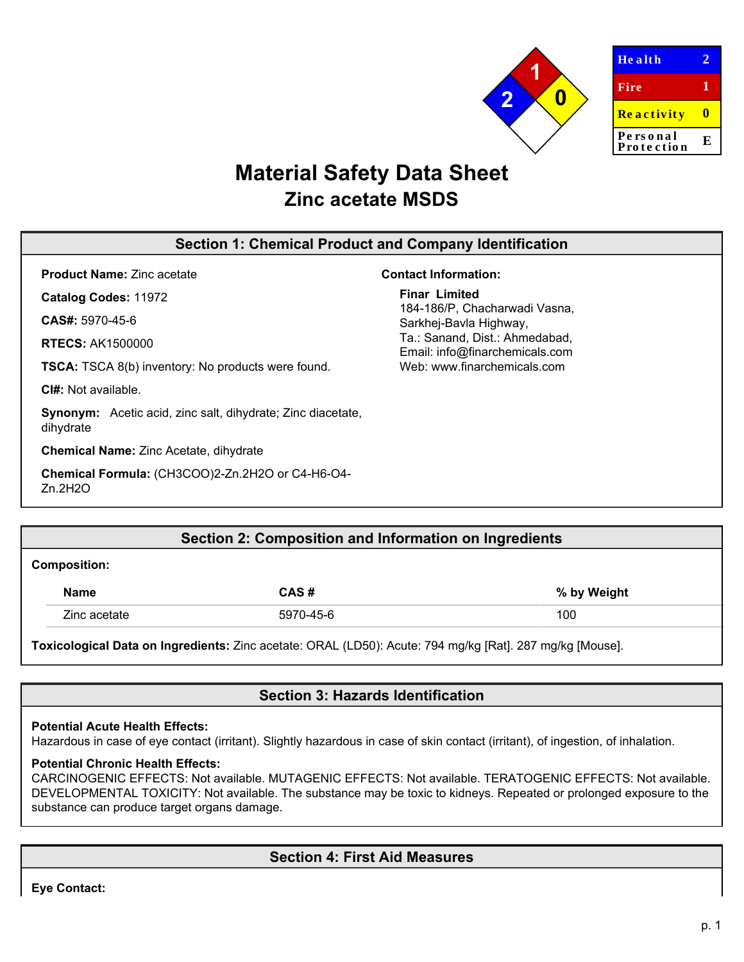

# **Material Safety Data Sheet Zinc acetate MSDS**

# **Section 1: Chemical Product and Company Identification**

**Product Name:** Zinc acetate

**Catalog Codes:** 11972

**CAS#:** 5970-45-6

**RTECS:** AK1500000

**TSCA:** TSCA 8(b) inventory: No products were found.

**CI#:** Not available.

**Synonym:** Acetic acid, zinc salt, dihydrate; Zinc diacetate, dihydrate

**Chemical Name:** Zinc Acetate, dihydrate

**Chemical Formula:** (CH3COO)2-Zn.2H2O or C4-H6-O4- Zn.2H2O

## **Contact Information:**

**Finar Limited**

184-186/P, Chacharwadi Vasna, Sarkhej-Bavla Highway, Ta.: Sanand, Dist.: Ahmedabad, Email: info@finarchemicals.com Web: www.fin[archemicals.com](http://www.sciencelab.com/)

|                     | Section 2: Composition and Information on Ingredients |  |             |  |  |
|---------------------|-------------------------------------------------------|--|-------------|--|--|
| <b>Composition:</b> |                                                       |  |             |  |  |
|                     |                                                       |  | --- ---- -- |  |  |

| Name         | $\cdot$ ac $\cdot$ | by Weight<br>% |
|--------------|--------------------|----------------|
| Zinc acetate | 5970-45-6<br>nu.   | 100            |

**Toxicological Data on Ingredients:** Zinc acetate: ORAL (LD50): Acute: 794 mg/kg [Rat]. 287 mg/kg [Mouse].

# **Section 3: Hazards Identification**

## **Potential Acute Health Effects:**

Hazardous in case of eye contact (irritant). Slightly hazardous in case of skin contact (irritant), of ingestion, of inhalation.

## **Potential Chronic Health Effects:**

CARCINOGENIC EFFECTS: Not available. MUTAGENIC EFFECTS: Not available. TERATOGENIC EFFECTS: Not available. DEVELOPMENTAL TOXICITY: Not available. The substance may be toxic to kidneys. Repeated or prolonged exposure to the substance can produce target organs damage.

# **Section 4: First Aid Measures**

**Eye Contact:**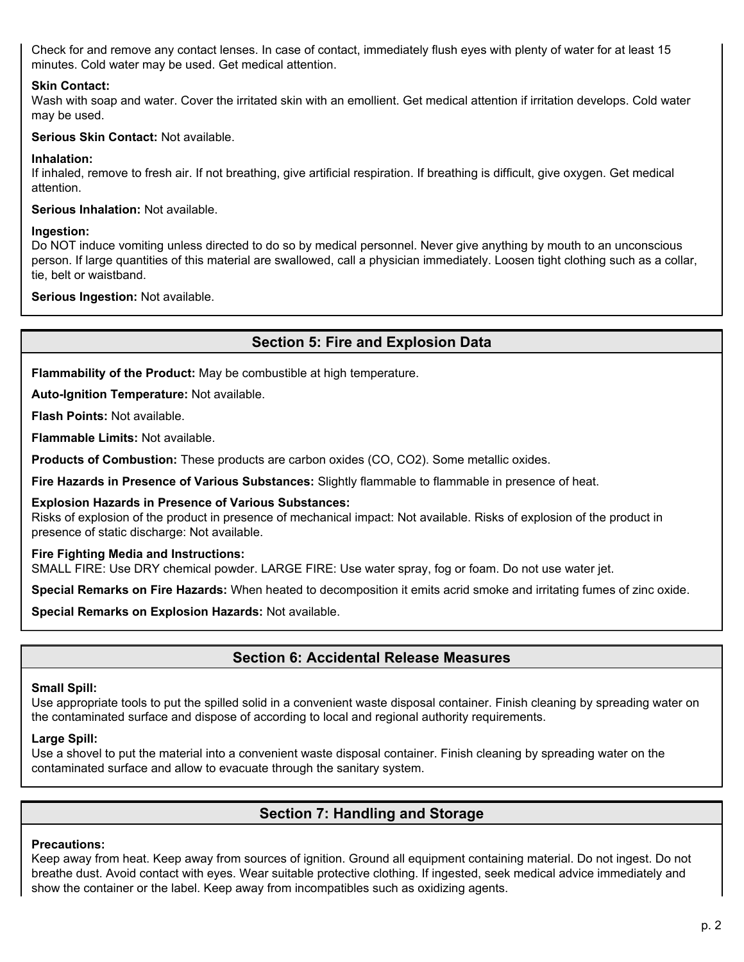Check for and remove any contact lenses. In case of contact, immediately flush eyes with plenty of water for at least 15 minutes. Cold water may be used. Get medical attention.

## **Skin Contact:**

Wash with soap and water. Cover the irritated skin with an emollient. Get medical attention if irritation develops. Cold water may be used.

## **Serious Skin Contact:** Not available.

## **Inhalation:**

If inhaled, remove to fresh air. If not breathing, give artificial respiration. If breathing is difficult, give oxygen. Get medical attention.

**Serious Inhalation:** Not available.

## **Ingestion:**

Do NOT induce vomiting unless directed to do so by medical personnel. Never give anything by mouth to an unconscious person. If large quantities of this material are swallowed, call a physician immediately. Loosen tight clothing such as a collar, tie, belt or waistband.

**Serious Ingestion:** Not available.

# **Section 5: Fire and Explosion Data**

**Flammability of the Product:** May be combustible at high temperature.

**Auto-Ignition Temperature:** Not available.

**Flash Points:** Not available.

**Flammable Limits:** Not available.

**Products of Combustion:** These products are carbon oxides (CO, CO2). Some metallic oxides.

**Fire Hazards in Presence of Various Substances:** Slightly flammable to flammable in presence of heat.

#### **Explosion Hazards in Presence of Various Substances:**

Risks of explosion of the product in presence of mechanical impact: Not available. Risks of explosion of the product in presence of static discharge: Not available.

## **Fire Fighting Media and Instructions:**

SMALL FIRE: Use DRY chemical powder. LARGE FIRE: Use water spray, fog or foam. Do not use water jet.

**Special Remarks on Fire Hazards:** When heated to decomposition it emits acrid smoke and irritating fumes of zinc oxide.

**Special Remarks on Explosion Hazards:** Not available.

# **Section 6: Accidental Release Measures**

## **Small Spill:**

Use appropriate tools to put the spilled solid in a convenient waste disposal container. Finish cleaning by spreading water on the contaminated surface and dispose of according to local and regional authority requirements.

## **Large Spill:**

Use a shovel to put the material into a convenient waste disposal container. Finish cleaning by spreading water on the contaminated surface and allow to evacuate through the sanitary system.

# **Section 7: Handling and Storage**

## **Precautions:**

Keep away from heat. Keep away from sources of ignition. Ground all equipment containing material. Do not ingest. Do not breathe dust. Avoid contact with eyes. Wear suitable protective clothing. If ingested, seek medical advice immediately and show the container or the label. Keep away from incompatibles such as oxidizing agents.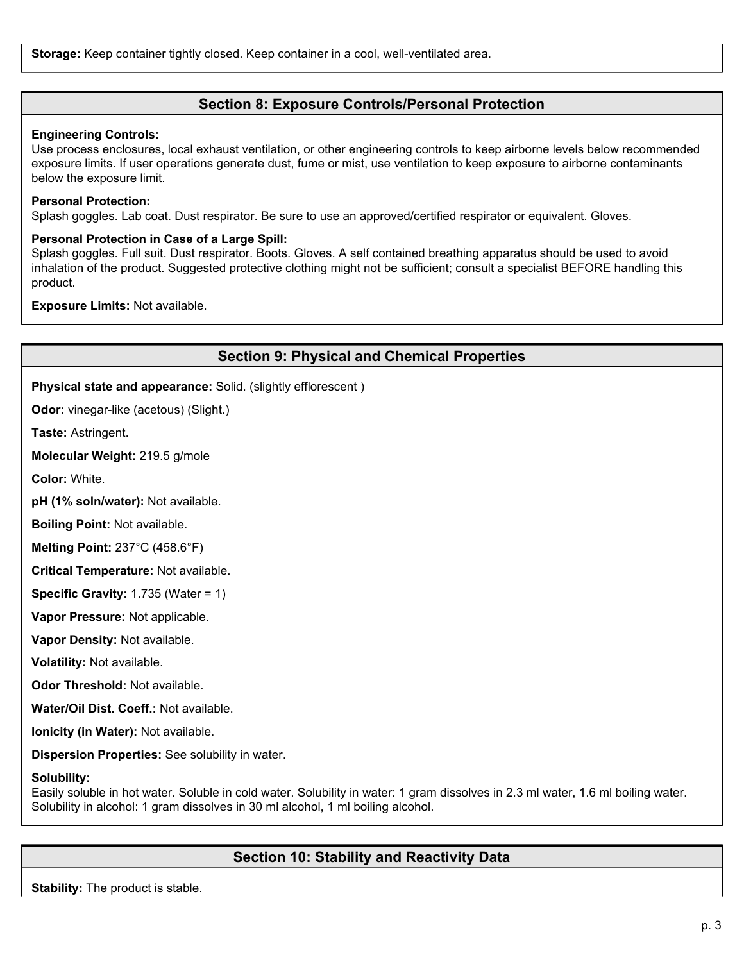## **Section 8: Exposure Controls/Personal Protection**

#### **Engineering Controls:**

Use process enclosures, local exhaust ventilation, or other engineering controls to keep airborne levels below recommended exposure limits. If user operations generate dust, fume or mist, use ventilation to keep exposure to airborne contaminants below the exposure limit.

#### **Personal Protection:**

Splash goggles. Lab coat. Dust respirator. Be sure to use an approved/certified respirator or equivalent. Gloves.

## **Personal Protection in Case of a Large Spill:**

Splash goggles. Full suit. Dust respirator. Boots. Gloves. A self contained breathing apparatus should be used to avoid inhalation of the product. Suggested protective clothing might not be sufficient; consult a specialist BEFORE handling this product.

**Exposure Limits:** Not available.

## **Section 9: Physical and Chemical Properties**

**Physical state and appearance:** Solid. (slightly efflorescent )

**Odor:** vinegar-like (acetous) (Slight.)

**Taste:** Astringent.

**Molecular Weight:** 219.5 g/mole

**Color:** White.

**pH (1% soln/water):** Not available.

**Boiling Point:** Not available.

**Melting Point:** 237°C (458.6°F)

**Critical Temperature:** Not available.

**Specific Gravity:** 1.735 (Water = 1)

**Vapor Pressure:** Not applicable.

**Vapor Density:** Not available.

**Volatility:** Not available.

**Odor Threshold:** Not available.

**Water/Oil Dist. Coeff.:** Not available.

**Ionicity (in Water):** Not available.

**Dispersion Properties:** See solubility in water.

#### **Solubility:**

Easily soluble in hot water. Soluble in cold water. Solubility in water: 1 gram dissolves in 2.3 ml water, 1.6 ml boiling water. Solubility in alcohol: 1 gram dissolves in 30 ml alcohol, 1 ml boiling alcohol.

# **Section 10: Stability and Reactivity Data**

**Stability:** The product is stable.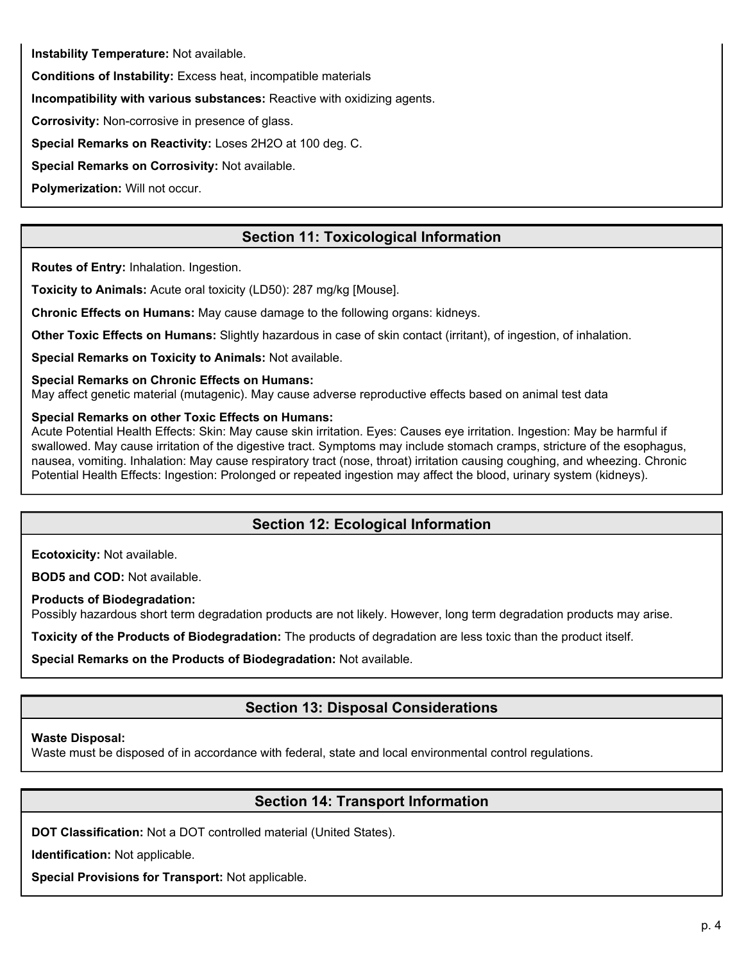**Instability Temperature:** Not available.

**Conditions of Instability:** Excess heat, incompatible materials

**Incompatibility with various substances:** Reactive with oxidizing agents.

**Corrosivity:** Non-corrosive in presence of glass.

**Special Remarks on Reactivity:** Loses 2H2O at 100 deg. C.

**Special Remarks on Corrosivity:** Not available.

**Polymerization:** Will not occur.

# **Section 11: Toxicological Information**

**Routes of Entry:** Inhalation. Ingestion.

**Toxicity to Animals:** Acute oral toxicity (LD50): 287 mg/kg [Mouse].

**Chronic Effects on Humans:** May cause damage to the following organs: kidneys.

**Other Toxic Effects on Humans:** Slightly hazardous in case of skin contact (irritant), of ingestion, of inhalation.

**Special Remarks on Toxicity to Animals:** Not available.

**Special Remarks on Chronic Effects on Humans:**

May affect genetic material (mutagenic). May cause adverse reproductive effects based on animal test data

## **Special Remarks on other Toxic Effects on Humans:**

Acute Potential Health Effects: Skin: May cause skin irritation. Eyes: Causes eye irritation. Ingestion: May be harmful if swallowed. May cause irritation of the digestive tract. Symptoms may include stomach cramps, stricture of the esophagus, nausea, vomiting. Inhalation: May cause respiratory tract (nose, throat) irritation causing coughing, and wheezing. Chronic Potential Health Effects: Ingestion: Prolonged or repeated ingestion may affect the blood, urinary system (kidneys).

# **Section 12: Ecological Information**

**Ecotoxicity:** Not available.

**BOD5 and COD:** Not available.

**Products of Biodegradation:**

Possibly hazardous short term degradation products are not likely. However, long term degradation products may arise.

**Toxicity of the Products of Biodegradation:** The products of degradation are less toxic than the product itself.

**Special Remarks on the Products of Biodegradation:** Not available.

# **Section 13: Disposal Considerations**

## **Waste Disposal:**

Waste must be disposed of in accordance with federal, state and local environmental control regulations.

# **Section 14: Transport Information**

**DOT Classification:** Not a DOT controlled material (United States).

**Identification:** Not applicable.

**Special Provisions for Transport:** Not applicable.